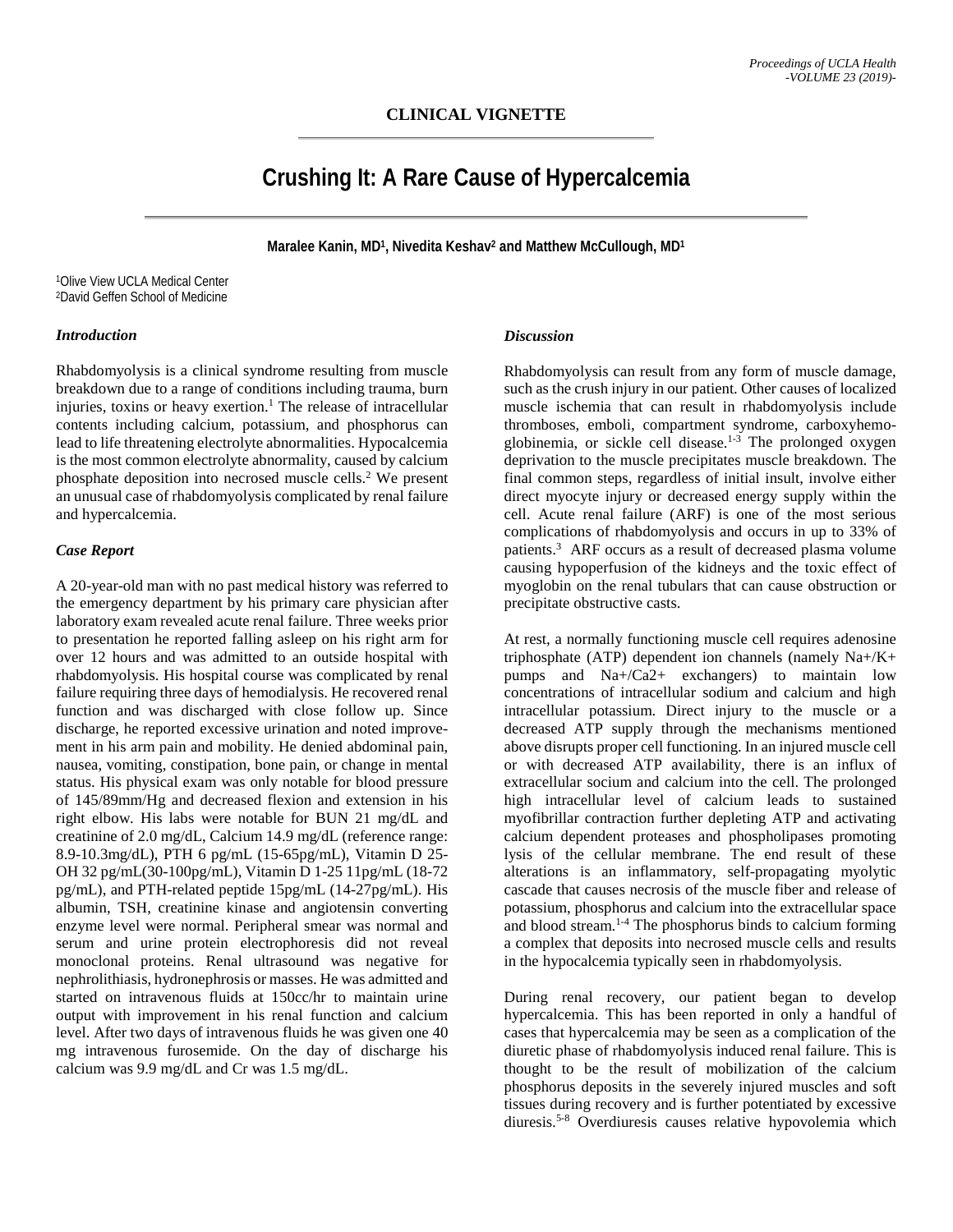# **Crushing It: A Rare Cause of Hypercalcemia**

**Maralee Kanin, MD1, Nivedita Keshav2 and Matthew McCullough, MD1**

1Olive View UCLA Medical Center 2David Geffen School of Medicine

#### *Introduction*

Rhabdomyolysis is a clinical syndrome resulting from muscle breakdown due to a range of conditions including trauma, burn injuries, toxins or heavy exertion.<sup>1</sup> The release of intracellular contents including calcium, potassium, and phosphorus can lead to life threatening electrolyte abnormalities. Hypocalcemia is the most common electrolyte abnormality, caused by calcium phosphate deposition into necrosed muscle cells.2 We present an unusual case of rhabdomyolysis complicated by renal failure and hypercalcemia.

#### *Case Report*

A 20-year-old man with no past medical history was referred to the emergency department by his primary care physician after laboratory exam revealed acute renal failure. Three weeks prior to presentation he reported falling asleep on his right arm for over 12 hours and was admitted to an outside hospital with rhabdomyolysis. His hospital course was complicated by renal failure requiring three days of hemodialysis. He recovered renal function and was discharged with close follow up. Since discharge, he reported excessive urination and noted improvement in his arm pain and mobility. He denied abdominal pain, nausea, vomiting, constipation, bone pain, or change in mental status. His physical exam was only notable for blood pressure of 145/89mm/Hg and decreased flexion and extension in his right elbow. His labs were notable for BUN 21 mg/dL and creatinine of 2.0 mg/dL, Calcium 14.9 mg/dL (reference range: 8.9-10.3mg/dL), PTH 6 pg/mL (15-65pg/mL), Vitamin D 25- OH 32 pg/mL(30-100pg/mL), Vitamin D 1-25 11pg/mL (18-72 pg/mL), and PTH-related peptide 15pg/mL (14-27pg/mL). His albumin, TSH, creatinine kinase and angiotensin converting enzyme level were normal. Peripheral smear was normal and serum and urine protein electrophoresis did not reveal monoclonal proteins. Renal ultrasound was negative for nephrolithiasis, hydronephrosis or masses. He was admitted and started on intravenous fluids at 150cc/hr to maintain urine output with improvement in his renal function and calcium level. After two days of intravenous fluids he was given one 40 mg intravenous furosemide. On the day of discharge his calcium was 9.9 mg/dL and Cr was 1.5 mg/dL.

## *Discussion*

Rhabdomyolysis can result from any form of muscle damage, such as the crush injury in our patient. Other causes of localized muscle ischemia that can result in rhabdomyolysis include thromboses, emboli, compartment syndrome, carboxyhemoglobinemia, or sickle cell disease.<sup>1-3</sup> The prolonged oxygen deprivation to the muscle precipitates muscle breakdown. The final common steps, regardless of initial insult, involve either direct myocyte injury or decreased energy supply within the cell. Acute renal failure (ARF) is one of the most serious complications of rhabdomyolysis and occurs in up to 33% of patients.3 ARF occurs as a result of decreased plasma volume causing hypoperfusion of the kidneys and the toxic effect of myoglobin on the renal tubulars that can cause obstruction or precipitate obstructive casts.

At rest, a normally functioning muscle cell requires adenosine triphosphate (ATP) dependent ion channels (namely Na+/K+ pumps and Na+/Ca2+ exchangers) to maintain low concentrations of intracellular sodium and calcium and high intracellular potassium. Direct injury to the muscle or a decreased ATP supply through the mechanisms mentioned above disrupts proper cell functioning. In an injured muscle cell or with decreased ATP availability, there is an influx of extracellular socium and calcium into the cell. The prolonged high intracellular level of calcium leads to sustained myofibrillar contraction further depleting ATP and activating calcium dependent proteases and phospholipases promoting lysis of the cellular membrane. The end result of these alterations is an inflammatory, self-propagating myolytic cascade that causes necrosis of the muscle fiber and release of potassium, phosphorus and calcium into the extracellular space and blood stream.1-4 The phosphorus binds to calcium forming a complex that deposits into necrosed muscle cells and results in the hypocalcemia typically seen in rhabdomyolysis.

During renal recovery, our patient began to develop hypercalcemia. This has been reported in only a handful of cases that hypercalcemia may be seen as a complication of the diuretic phase of rhabdomyolysis induced renal failure. This is thought to be the result of mobilization of the calcium phosphorus deposits in the severely injured muscles and soft tissues during recovery and is further potentiated by excessive diuresis.5-8 Overdiuresis causes relative hypovolemia which